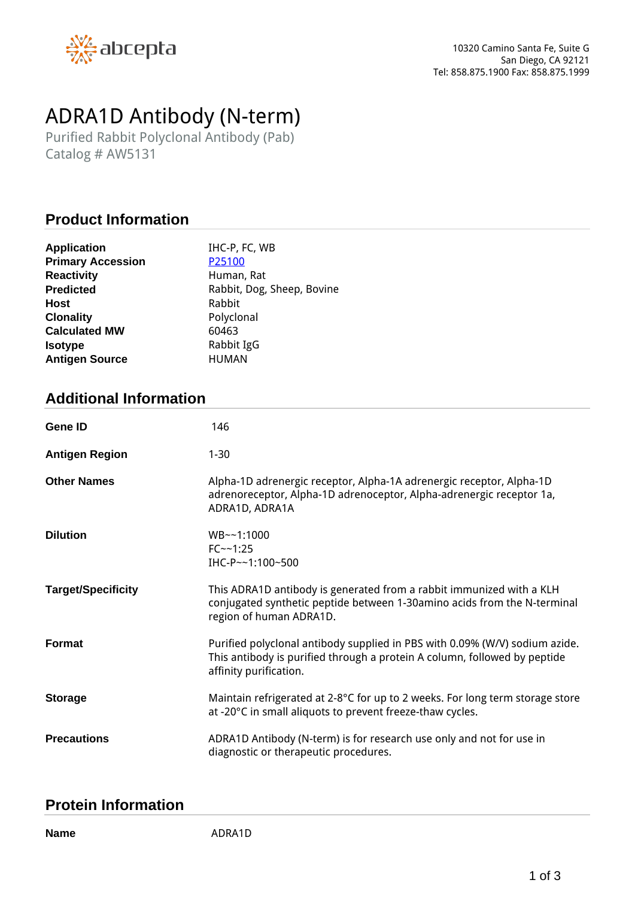

# *ADRA1D Antibody (N-term)*

*Purified Rabbit Polyclonal Antibody (Pab) Catalog # AW5131*

# **Product Information**

| <b>Application</b>       | IHC-P, FC, WB              |
|--------------------------|----------------------------|
| <b>Primary Accession</b> | P25100                     |
| <b>Reactivity</b>        | Human, Rat                 |
| <b>Predicted</b>         | Rabbit, Dog, Sheep, Bovine |
| Host                     | Rabbit                     |
| <b>Clonality</b>         | Polyclonal                 |
| <b>Calculated MW</b>     | 60463                      |
| <b>Isotype</b>           | Rabbit IgG                 |
| <b>Antigen Source</b>    | <b>HUMAN</b>               |

# **Additional Information**

| <b>Gene ID</b>            | 146                                                                                                                                                                                |
|---------------------------|------------------------------------------------------------------------------------------------------------------------------------------------------------------------------------|
| <b>Antigen Region</b>     | $1 - 30$                                                                                                                                                                           |
| <b>Other Names</b>        | Alpha-1D adrenergic receptor, Alpha-1A adrenergic receptor, Alpha-1D<br>adrenoreceptor, Alpha-1D adrenoceptor, Alpha-adrenergic receptor 1a,<br>ADRA1D, ADRA1A                     |
| <b>Dilution</b>           | WB~~1:1000<br>$FC - - 1:25$<br>IHC-P~~1:100~500                                                                                                                                    |
| <b>Target/Specificity</b> | This ADRA1D antibody is generated from a rabbit immunized with a KLH<br>conjugated synthetic peptide between 1-30amino acids from the N-terminal<br>region of human ADRA1D.        |
| <b>Format</b>             | Purified polyclonal antibody supplied in PBS with 0.09% (W/V) sodium azide.<br>This antibody is purified through a protein A column, followed by peptide<br>affinity purification. |
| <b>Storage</b>            | Maintain refrigerated at 2-8°C for up to 2 weeks. For long term storage store<br>at -20°C in small aliquots to prevent freeze-thaw cycles.                                         |
| <b>Precautions</b>        | ADRA1D Antibody (N-term) is for research use only and not for use in<br>diagnostic or therapeutic procedures.                                                                      |

#### **Protein Information**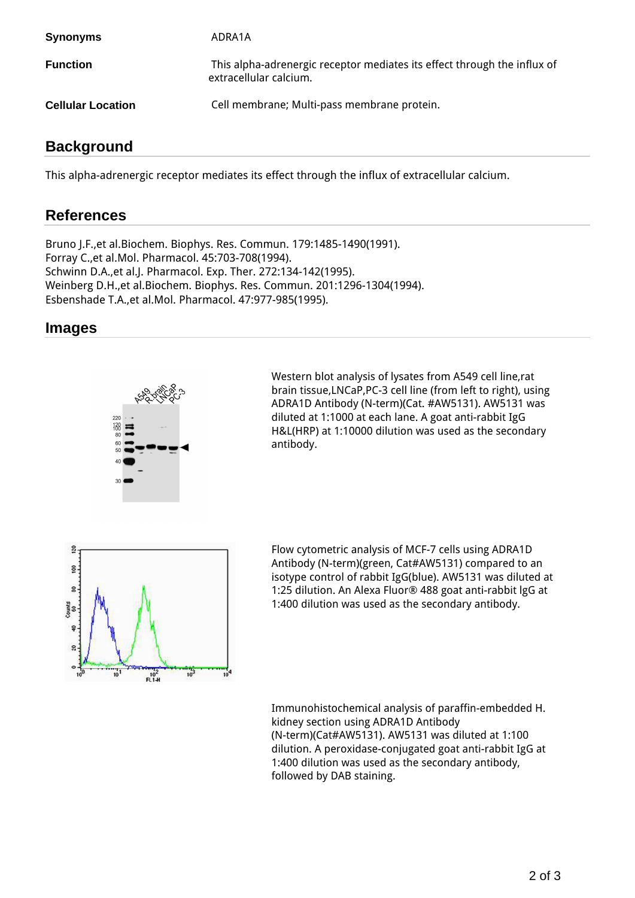| <b>Synonyms</b>          | ADRA1A                                                                                             |
|--------------------------|----------------------------------------------------------------------------------------------------|
| <b>Function</b>          | This alpha-adrenergic receptor mediates its effect through the influx of<br>extracellular calcium. |
| <b>Cellular Location</b> | Cell membrane; Multi-pass membrane protein.                                                        |

# **Background**

*This alpha-adrenergic receptor mediates its effect through the influx of extracellular calcium.*

# **References**

*Bruno J.F.,et al.Biochem. Biophys. Res. Commun. 179:1485-1490(1991). Forray C.,et al.Mol. Pharmacol. 45:703-708(1994). Schwinn D.A.,et al.J. Pharmacol. Exp. Ther. 272:134-142(1995). Weinberg D.H.,et al.Biochem. Biophys. Res. Commun. 201:1296-1304(1994). Esbenshade T.A.,et al.Mol. Pharmacol. 47:977-985(1995).*

#### **Images**



*Western blot analysis of lysates from A549 cell line,rat brain tissue,LNCaP,PC-3 cell line (from left to right), using ADRA1D Antibody (N-term)(Cat. #AW5131). AW5131 was diluted at 1:1000 at each lane. A goat anti-rabbit IgG H&L(HRP) at 1:10000 dilution was used as the secondary antibody.*



*Flow cytometric analysis of MCF-7 cells using ADRA1D Antibody (N-term)(green, Cat#AW5131) compared to an isotype control of rabbit IgG(blue). AW5131 was diluted at 1:25 dilution. An Alexa Fluor® 488 goat anti-rabbit lgG at 1:400 dilution was used as the secondary antibody.*

*Immunohistochemical analysis of paraffin-embedded H. kidney section using ADRA1D Antibody (N-term)(Cat#AW5131). AW5131 was diluted at 1:100 dilution. A peroxidase-conjugated goat anti-rabbit IgG at 1:400 dilution was used as the secondary antibody, followed by DAB staining.*